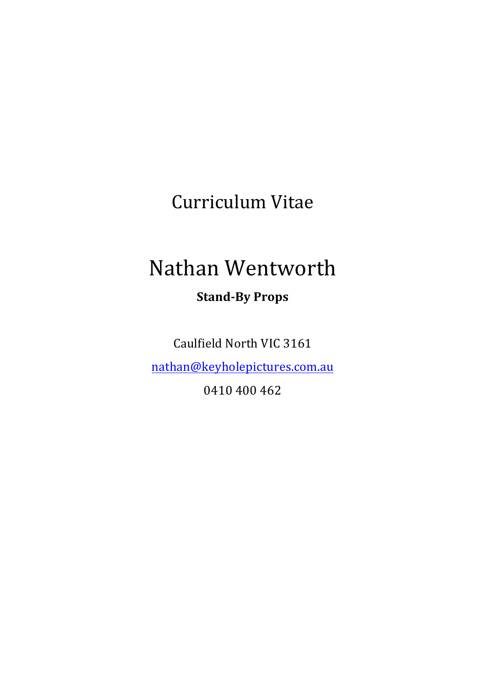Curriculum Vitae

## Nathan Wentworth

**Stand-By Props**

Caulfield North VIC 3161

nathan@keyholepictures.com.au

0410 400 462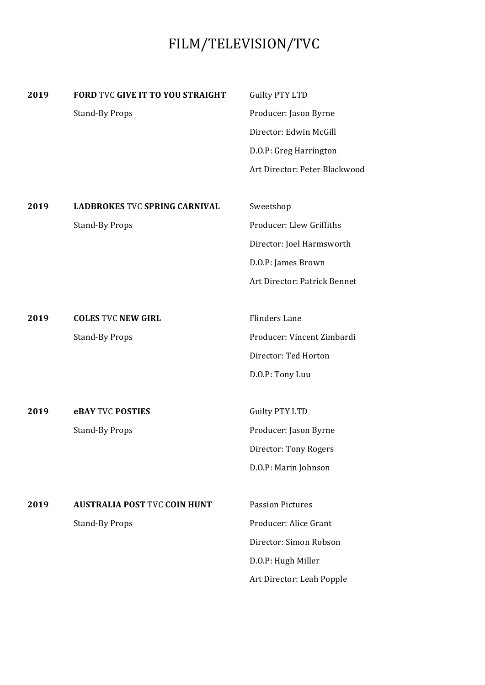## FILM/TELEVISION/TVC

| 2019 | FORD TVC GIVE IT TO YOU STRAIGHT     | <b>Guilty PTY LTD</b>         |
|------|--------------------------------------|-------------------------------|
|      | <b>Stand-By Props</b>                | Producer: Jason Byrne         |
|      |                                      | Director: Edwin McGill        |
|      |                                      | D.O.P: Greg Harrington        |
|      |                                      | Art Director: Peter Blackwood |
|      |                                      |                               |
| 2019 | <b>LADBROKES TVC SPRING CARNIVAL</b> | Sweetshop                     |
|      | <b>Stand-By Props</b>                | Producer: Llew Griffiths      |
|      |                                      | Director: Joel Harmsworth     |
|      |                                      | D.O.P: James Brown            |
|      |                                      | Art Director: Patrick Bennet  |
|      |                                      |                               |
| 2019 | <b>COLES TVC NEW GIRL</b>            | <b>Flinders Lane</b>          |
|      | <b>Stand-By Props</b>                | Producer: Vincent Zimbardi    |
|      |                                      | Director: Ted Horton          |
|      |                                      | D.O.P: Tony Luu               |
|      |                                      |                               |
| 2019 | <b>eBAY TVC POSTIES</b>              | <b>Guilty PTY LTD</b>         |
|      | <b>Stand-By Props</b>                | Producer: Jason Byrne         |
|      |                                      | Director: Tony Rogers         |
|      |                                      | D.O.P: Marin Johnson          |
|      |                                      |                               |
| 2019 | <b>AUSTRALIA POST TVC COIN HUNT</b>  | <b>Passion Pictures</b>       |
|      | <b>Stand-By Props</b>                | Producer: Alice Grant         |
|      |                                      | Director: Simon Robson        |
|      |                                      | D.O.P: Hugh Miller            |
|      |                                      | Art Director: Leah Popple     |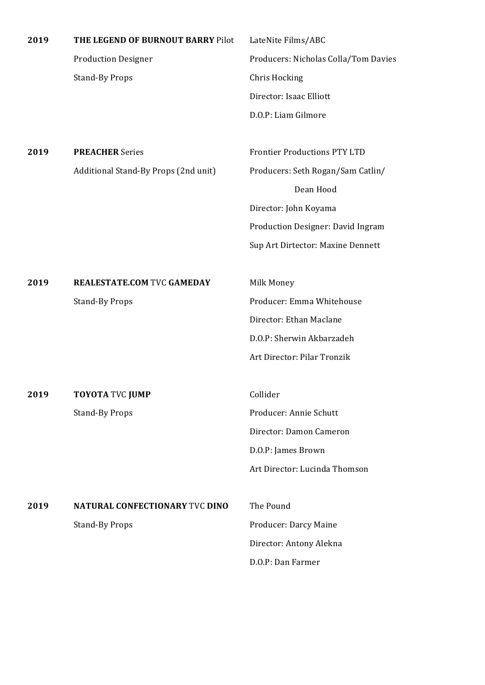| 2019 | THE LEGEND OF BURNOUT BARRY Pilot    | LateNite Films/ABC                             |
|------|--------------------------------------|------------------------------------------------|
|      | <b>Production Designer</b>           | Producers: Nicholas Colla/Tom Davies           |
|      | <b>Stand-By Props</b>                | <b>Chris Hocking</b>                           |
|      |                                      | Director: Isaac Elliott                        |
|      |                                      | D.O.P: Liam Gilmore                            |
|      | <b>PREACHER Series</b>               | <b>Frontier Productions PTY LTD</b>            |
| 2019 |                                      |                                                |
|      | Additional Stand-By Props (2nd unit) | Producers: Seth Rogan/Sam Catlin/<br>Dean Hood |
|      |                                      |                                                |
|      |                                      | Director: John Koyama                          |
|      |                                      | Production Designer: David Ingram              |
|      |                                      | Sup Art Dirtector: Maxine Dennett              |
| 2019 | <b>REALESTATE.COM TVC GAMEDAY</b>    | Milk Money                                     |
|      | <b>Stand-By Props</b>                | Producer: Emma Whitehouse                      |
|      |                                      | Director: Ethan Maclane                        |
|      |                                      | D.O.P: Sherwin Akbarzadeh                      |
|      |                                      | Art Director: Pilar Tronzik                    |
| 2019 | <b>TOYOTA TVC JUMP</b>               | Collider                                       |
|      | <b>Stand-By Props</b>                | Producer: Annie Schutt                         |
|      |                                      | Director: Damon Cameron                        |
|      |                                      |                                                |
|      |                                      | D.O.P: James Brown                             |
|      |                                      | Art Director: Lucinda Thomson                  |
| 2019 | NATURAL CONFECTIONARY TVC DINO       | The Pound                                      |
|      | <b>Stand-By Props</b>                | Producer: Darcy Maine                          |
|      |                                      | Director: Antony Alekna                        |
|      |                                      | D.O.P: Dan Farmer                              |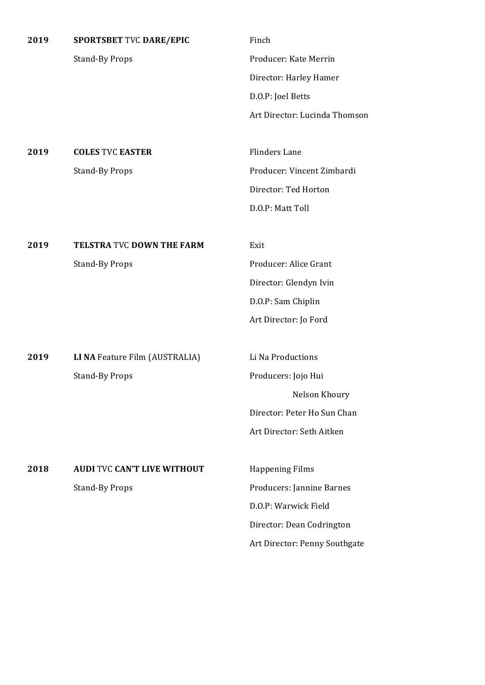| 2019 | <b>SPORTSBET TVC DARE/EPIC</b>     | Finch                         |
|------|------------------------------------|-------------------------------|
|      | <b>Stand-By Props</b>              | Producer: Kate Merrin         |
|      |                                    | Director: Harley Hamer        |
|      |                                    | D.O.P: Joel Betts             |
|      |                                    | Art Director: Lucinda Thomson |
|      |                                    |                               |
| 2019 | <b>COLES TVC EASTER</b>            | <b>Flinders Lane</b>          |
|      | <b>Stand-By Props</b>              | Producer: Vincent Zimbardi    |
|      |                                    | Director: Ted Horton          |
|      |                                    | D.O.P: Matt Toll              |
|      |                                    |                               |
| 2019 | <b>TELSTRA TVC DOWN THE FARM</b>   | Exit                          |
|      | <b>Stand-By Props</b>              | Producer: Alice Grant         |
|      |                                    | Director: Glendyn Ivin        |
|      |                                    | D.O.P: Sam Chiplin            |
|      |                                    | Art Director: Jo Ford         |
|      |                                    |                               |
| 2019 | LI NA Feature Film (AUSTRALIA)     | Li Na Productions             |
|      | <b>Stand-By Props</b>              | Producers: Jojo Hui           |
|      |                                    | Nelson Khoury                 |
|      |                                    | Director: Peter Ho Sun Chan   |
|      |                                    | Art Director: Seth Aitken     |
|      |                                    |                               |
| 2018 | <b>AUDI TVC CAN'T LIVE WITHOUT</b> | <b>Happening Films</b>        |
|      | <b>Stand-By Props</b>              | Producers: Jannine Barnes     |
|      |                                    | D.O.P: Warwick Field          |
|      |                                    | Director: Dean Codrington     |
|      |                                    | Art Director: Penny Southgate |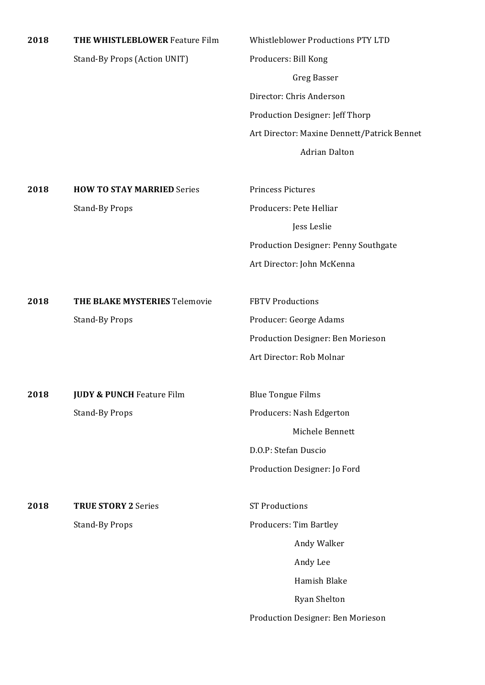| 2018 | THE WHISTLEBLOWER Feature Film       | <b>Whistleblower Productions PTY LTD</b>    |
|------|--------------------------------------|---------------------------------------------|
|      | Stand-By Props (Action UNIT)         | Producers: Bill Kong                        |
|      |                                      | <b>Greg Basser</b>                          |
|      |                                      | Director: Chris Anderson                    |
|      |                                      | Production Designer: Jeff Thorp             |
|      |                                      | Art Director: Maxine Dennett/Patrick Bennet |
|      |                                      | <b>Adrian Dalton</b>                        |
| 2018 | <b>HOW TO STAY MARRIED Series</b>    | Princess Pictures                           |
|      | <b>Stand-By Props</b>                | Producers: Pete Helliar                     |
|      |                                      | Jess Leslie                                 |
|      |                                      | Production Designer: Penny Southgate        |
|      |                                      | Art Director: John McKenna                  |
| 2018 | THE BLAKE MYSTERIES Telemovie        | <b>FBTV Productions</b>                     |
|      | <b>Stand-By Props</b>                | Producer: George Adams                      |
|      |                                      | Production Designer: Ben Morieson           |
|      |                                      | Art Director: Rob Molnar                    |
| 2018 | <b>JUDY &amp; PUNCH Feature Film</b> | <b>Blue Tongue Films</b>                    |
|      | <b>Stand-By Props</b>                | Producers: Nash Edgerton                    |
|      |                                      | Michele Bennett                             |
|      |                                      | D.O.P: Stefan Duscio                        |
|      |                                      | Production Designer: Jo Ford                |
| 2018 | <b>TRUE STORY 2 Series</b>           | <b>ST Productions</b>                       |
|      | <b>Stand-By Props</b>                | Producers: Tim Bartley                      |
|      |                                      | Andy Walker                                 |
|      |                                      | Andy Lee                                    |
|      |                                      | Hamish Blake                                |
|      |                                      | Ryan Shelton                                |
|      |                                      | Production Designer: Ben Morieson           |
|      |                                      |                                             |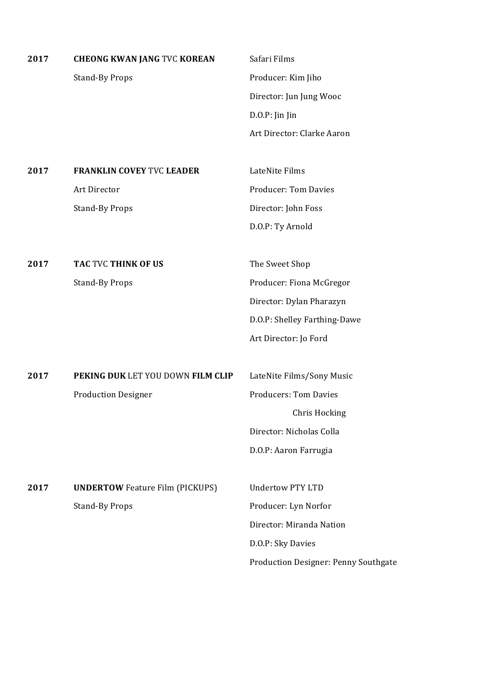| 2017 | <b>CHEONG KWAN JANG TVC KOREAN</b>     | Safari Films                         |
|------|----------------------------------------|--------------------------------------|
|      | <b>Stand-By Props</b>                  | Producer: Kim Jiho                   |
|      |                                        | Director: Jun Jung Wooc              |
|      |                                        | $D.O.P:$ Jin Jin                     |
|      |                                        | Art Director: Clarke Aaron           |
|      |                                        |                                      |
| 2017 | <b>FRANKLIN COVEY TVC LEADER</b>       | LateNite Films                       |
|      | Art Director                           | <b>Producer: Tom Davies</b>          |
|      | <b>Stand-By Props</b>                  | Director: John Foss                  |
|      |                                        | D.O.P: Ty Arnold                     |
|      |                                        |                                      |
| 2017 | TAC TVC THINK OF US                    | The Sweet Shop                       |
|      | <b>Stand-By Props</b>                  | Producer: Fiona McGregor             |
|      |                                        | Director: Dylan Pharazyn             |
|      |                                        | D.O.P: Shelley Farthing-Dawe         |
|      |                                        | Art Director: Jo Ford                |
|      |                                        |                                      |
| 2017 | PEKING DUK LET YOU DOWN FILM CLIP      | LateNite Films/Sony Music            |
|      | <b>Production Designer</b>             | <b>Producers: Tom Davies</b>         |
|      |                                        | Chris Hocking                        |
|      |                                        | Director: Nicholas Colla             |
|      |                                        | D.O.P: Aaron Farrugia                |
|      |                                        |                                      |
| 2017 | <b>UNDERTOW</b> Feature Film (PICKUPS) | <b>Undertow PTY LTD</b>              |
|      | <b>Stand-By Props</b>                  | Producer: Lyn Norfor                 |
|      |                                        | Director: Miranda Nation             |
|      |                                        | D.O.P: Sky Davies                    |
|      |                                        | Production Designer: Penny Southgate |
|      |                                        |                                      |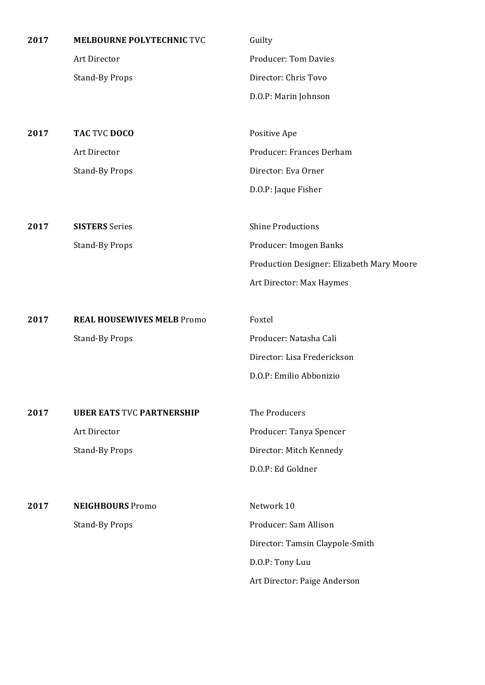| 2017 | <b>MELBOURNE POLYTECHNIC TVC</b>  | Guilty                                    |
|------|-----------------------------------|-------------------------------------------|
|      | Art Director                      | <b>Producer: Tom Davies</b>               |
|      | <b>Stand-By Props</b>             | Director: Chris Tovo                      |
|      |                                   | D.O.P: Marin Johnson                      |
|      |                                   |                                           |
| 2017 | TAC TVC DOCO                      | Positive Ape                              |
|      | Art Director                      | Producer: Frances Derham                  |
|      | <b>Stand-By Props</b>             | Director: Eva Orner                       |
|      |                                   | D.O.P: Jaque Fisher                       |
|      |                                   |                                           |
| 2017 | <b>SISTERS</b> Series             | <b>Shine Productions</b>                  |
|      | <b>Stand-By Props</b>             | Producer: Imogen Banks                    |
|      |                                   | Production Designer: Elizabeth Mary Moore |
|      |                                   | Art Director: Max Haymes                  |
|      |                                   |                                           |
| 2017 | <b>REAL HOUSEWIVES MELB Promo</b> | Foxtel                                    |
|      | <b>Stand-By Props</b>             | Producer: Natasha Cali                    |
|      |                                   | Director: Lisa Frederickson               |
|      |                                   | D.O.P: Emilio Abbonizio                   |
|      |                                   |                                           |
| 2017 | <b>UBER EATS TVC PARTNERSHIP</b>  | The Producers                             |
|      | Art Director                      | Producer: Tanya Spencer                   |
|      | <b>Stand-By Props</b>             | Director: Mitch Kennedy                   |
|      |                                   | D.O.P: Ed Goldner                         |
|      |                                   |                                           |
| 2017 | <b>NEIGHBOURS</b> Promo           | Network 10                                |
|      | <b>Stand-By Props</b>             | Producer: Sam Allison                     |
|      |                                   | Director: Tamsin Claypole-Smith           |
|      |                                   | D.O.P: Tony Luu                           |

Art Director: Paige Anderson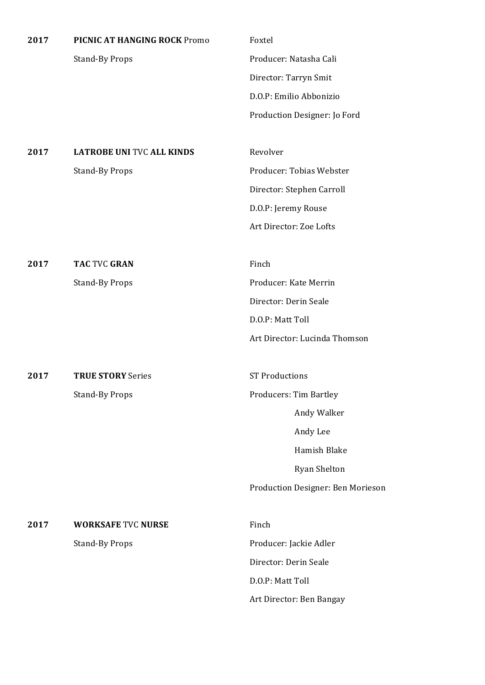| 2017 | PICNIC AT HANGING ROCK Promo     | Foxtel                            |
|------|----------------------------------|-----------------------------------|
|      | <b>Stand-By Props</b>            | Producer: Natasha Cali            |
|      |                                  | Director: Tarryn Smit             |
|      |                                  | D.O.P: Emilio Abbonizio           |
|      |                                  | Production Designer: Jo Ford      |
|      |                                  |                                   |
| 2017 | <b>LATROBE UNI TVC ALL KINDS</b> | Revolver                          |
|      | <b>Stand-By Props</b>            | Producer: Tobias Webster          |
|      |                                  | Director: Stephen Carroll         |
|      |                                  | D.O.P: Jeremy Rouse               |
|      |                                  | Art Director: Zoe Lofts           |
|      |                                  |                                   |
| 2017 | <b>TAC TVC GRAN</b>              | Finch                             |
|      | <b>Stand-By Props</b>            | Producer: Kate Merrin             |
|      |                                  | Director: Derin Seale             |
|      |                                  | D.O.P: Matt Toll                  |
|      |                                  | Art Director: Lucinda Thomson     |
|      |                                  |                                   |
| 2017 | <b>TRUE STORY Series</b>         | <b>ST Productions</b>             |
|      | <b>Stand-By Props</b>            | Producers: Tim Bartley            |
|      |                                  | Andy Walker                       |
|      |                                  | Andy Lee                          |
|      |                                  | Hamish Blake                      |
|      |                                  | <b>Ryan Shelton</b>               |
|      |                                  | Production Designer: Ben Morieson |
|      |                                  |                                   |
| 2017 | <b>WORKSAFE TVC NURSE</b>        | Finch                             |
|      | <b>Stand-By Props</b>            | Producer: Jackie Adler            |
|      |                                  | Director: Derin Seale             |
|      |                                  | D.O.P: Matt Toll                  |
|      |                                  | Art Director: Ben Bangay          |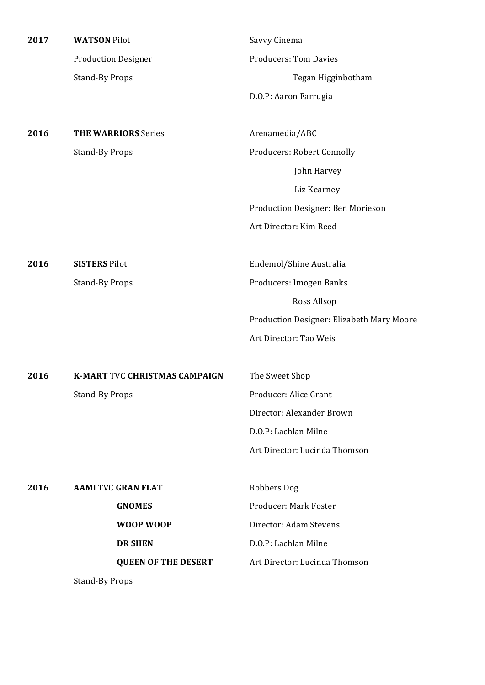| 2017 | <b>WATSON Pilot</b>                  | Savvy Cinema                              |
|------|--------------------------------------|-------------------------------------------|
|      | <b>Production Designer</b>           | <b>Producers: Tom Davies</b>              |
|      | <b>Stand-By Props</b>                | Tegan Higginbotham                        |
|      |                                      | D.O.P: Aaron Farrugia                     |
| 2016 | <b>THE WARRIORS Series</b>           | Arenamedia/ABC                            |
|      | <b>Stand-By Props</b>                | <b>Producers: Robert Connolly</b>         |
|      |                                      | John Harvey                               |
|      |                                      | Liz Kearney                               |
|      |                                      | Production Designer: Ben Morieson         |
|      |                                      | Art Director: Kim Reed                    |
| 2016 | <b>SISTERS Pilot</b>                 | Endemol/Shine Australia                   |
|      | <b>Stand-By Props</b>                | Producers: Imogen Banks                   |
|      |                                      | Ross Allsop                               |
|      |                                      | Production Designer: Elizabeth Mary Moore |
|      |                                      | Art Director: Tao Weis                    |
| 2016 | <b>K-MART TVC CHRISTMAS CAMPAIGN</b> | The Sweet Shop                            |
|      | <b>Stand-By Props</b>                | Producer: Alice Grant                     |
|      |                                      | Director: Alexander Brown                 |
|      |                                      | D.O.P: Lachlan Milne                      |
|      |                                      | Art Director: Lucinda Thomson             |
| 2016 | <b>AAMI TVC GRAN FLAT</b>            | Robbers Dog                               |
|      | <b>GNOMES</b>                        | Producer: Mark Foster                     |
|      | WOOP WOOP                            | Director: Adam Stevens                    |
|      | <b>DR SHEN</b>                       | D.O.P: Lachlan Milne                      |
|      | <b>QUEEN OF THE DESERT</b>           | Art Director: Lucinda Thomson             |
|      | <b>Stand-By Props</b>                |                                           |
|      |                                      |                                           |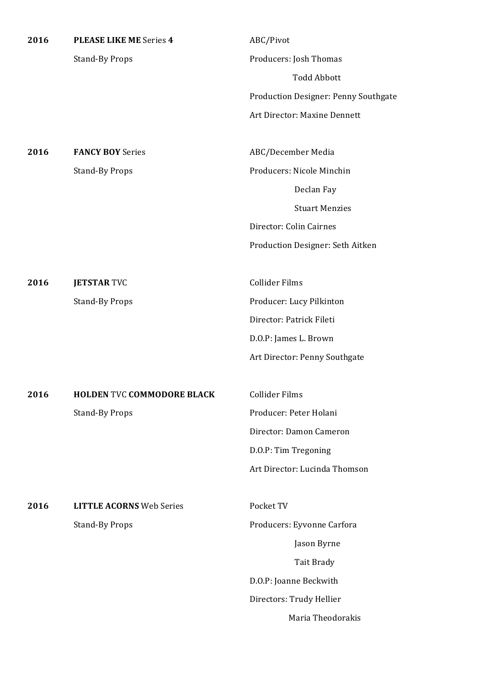| 2016 | <b>PLEASE LIKE ME Series 4</b>    | ABC/Pivot                            |
|------|-----------------------------------|--------------------------------------|
|      | <b>Stand-By Props</b>             | Producers: Josh Thomas               |
|      |                                   | <b>Todd Abbott</b>                   |
|      |                                   | Production Designer: Penny Southgate |
|      |                                   | Art Director: Maxine Dennett         |
| 2016 | <b>FANCY BOY Series</b>           | ABC/December Media                   |
|      | <b>Stand-By Props</b>             | Producers: Nicole Minchin            |
|      |                                   | Declan Fay                           |
|      |                                   | <b>Stuart Menzies</b>                |
|      |                                   | Director: Colin Cairnes              |
|      |                                   | Production Designer: Seth Aitken     |
| 2016 | <b>JETSTAR TVC</b>                | <b>Collider Films</b>                |
|      | <b>Stand-By Props</b>             | Producer: Lucy Pilkinton             |
|      |                                   | Director: Patrick Fileti             |
|      |                                   | D.O.P: James L. Brown                |
|      |                                   | Art Director: Penny Southgate        |
| 2016 | <b>HOLDEN TVC COMMODORE BLACK</b> | <b>Collider Films</b>                |
|      | <b>Stand-By Props</b>             | Producer: Peter Holani               |
|      |                                   | Director: Damon Cameron              |
|      |                                   | D.O.P: Tim Tregoning                 |
|      |                                   | Art Director: Lucinda Thomson        |
| 2016 | <b>LITTLE ACORNS Web Series</b>   | Pocket TV                            |
|      | <b>Stand-By Props</b>             | Producers: Eyvonne Carfora           |
|      |                                   | Jason Byrne                          |
|      |                                   | Tait Brady                           |
|      |                                   | D.O.P: Joanne Beckwith               |
|      |                                   | Directors: Trudy Hellier             |
|      |                                   | Maria Theodorakis                    |
|      |                                   |                                      |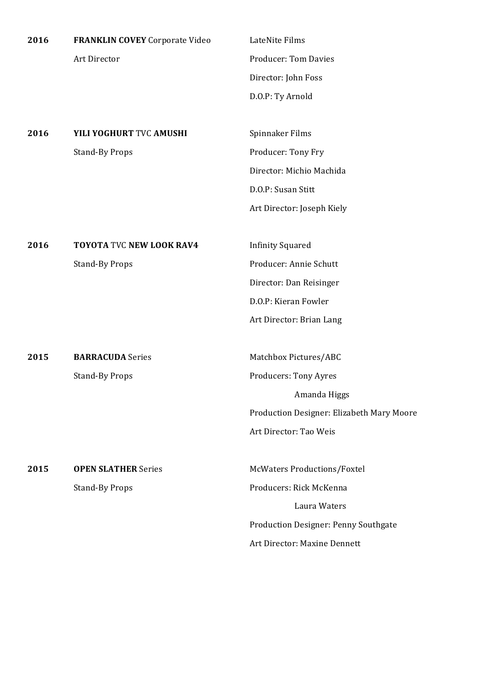| 2016 | <b>FRANKLIN COVEY</b> Corporate Video | LateNite Films              |
|------|---------------------------------------|-----------------------------|
|      | Art Director                          | <b>Producer: Tom Davies</b> |
|      |                                       | Director: John Foss         |
|      |                                       | D.O.P: Ty Arnold            |
|      |                                       |                             |

**2016 YILI YOGHURT** TVC **AMUSHI** Spinnaker Films Stand-By Props Producer: Tony Fry

Director: Michio Machida D.O.P: Susan Stitt Art Director: Joseph Kiely

**2016 TOYOTA** TVC **NEW LOOK RAV4** Infinity Squared

**2015 BARRACUDA** Series Matchbox Pictures/ABC

**2015 OPEN SLATHER** Series McWaters Productions/Foxtel

Stand-By Props Producer: Annie Schutt Director: Dan Reisinger D.O.P: Kieran Fowler Art Director: Brian Lang

Stand-By Props **Producers:** Tony Ayres Amanda Higgs Production Designer: Elizabeth Mary Moore Art Director: Tao Weis

Stand-By Props Producers: Rick McKenna Laura Waters Production Designer: Penny Southgate Art Director: Maxine Dennett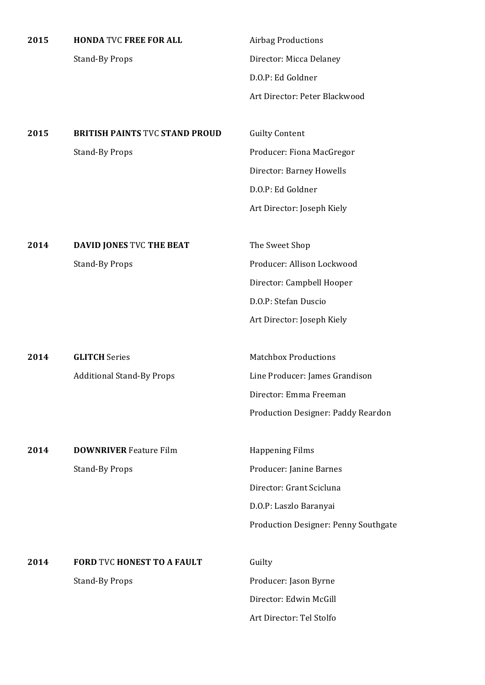| 2015 | <b>HONDA TVC FREE FOR ALL</b> |
|------|-------------------------------|
|      | Stand-By Props                |

**Airbag Productions** Director: Micca Delaney D.O.P: Ed Goldner Art Director: Peter Blackwood

2015 **BRITISH PAINTS TVC STAND PROUD** Guilty Content Stand-By Props **Props** Producer: Fiona MacGregor

Director: Barney Howells D.O.P: Ed Goldner Art Director: Joseph Kiely

**2014 DAVID JONES** TVC **THE BEAT** The Sweet Shop Stand-By Props **Props** Producer: Allison Lockwood Director: Campbell Hooper D.O.P: Stefan Duscio Art Director: Joseph Kiely

**2014 GLITCH** Series **Matchbox Productions** Additional Stand-By Props Line Producer: James Grandison Director: Emma Freeman

**2014 DOWNRIVER** Feature Film **Happening Films** 

Stand-By Props **Props** Producer: Janine Barnes Director: Grant Scicluna D.O.P: Laszlo Baranyai Production Designer: Penny Southgate

Production Designer: Paddy Reardon

**2014 •• FORD TVC HONEST TO A FAULT** Guilty Stand-By Props **Producer:** Jason Byrne

Director: Edwin McGill Art Director: Tel Stolfo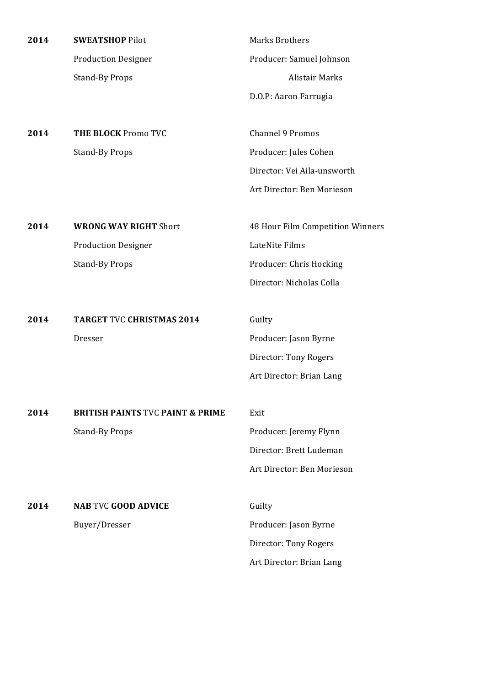| 2014 | <b>SWEATSHOP Pilot</b>                      | <b>Marks Brothers</b>            |
|------|---------------------------------------------|----------------------------------|
|      | <b>Production Designer</b>                  | Producer: Samuel Johnson         |
|      | <b>Stand-By Props</b>                       | <b>Alistair Marks</b>            |
|      |                                             | D.O.P: Aaron Farrugia            |
|      |                                             |                                  |
| 2014 | <b>THE BLOCK Promo TVC</b>                  | <b>Channel 9 Promos</b>          |
|      | <b>Stand-By Props</b>                       | Producer: Jules Cohen            |
|      |                                             | Director: Vei Aila-unsworth      |
|      |                                             | Art Director: Ben Morieson       |
|      |                                             |                                  |
| 2014 | <b>WRONG WAY RIGHT Short</b>                | 48 Hour Film Competition Winners |
|      | <b>Production Designer</b>                  | LateNite Films                   |
|      | <b>Stand-By Props</b>                       | Producer: Chris Hocking          |
|      |                                             | Director: Nicholas Colla         |
|      |                                             |                                  |
| 2014 | <b>TARGET TVC CHRISTMAS 2014</b>            | Guilty                           |
|      | Dresser                                     | Producer: Jason Byrne            |
|      |                                             | Director: Tony Rogers            |
|      |                                             | Art Director: Brian Lang         |
|      |                                             |                                  |
| 2014 | <b>BRITISH PAINTS TVC PAINT &amp; PRIME</b> | Exit                             |
|      | <b>Stand-By Props</b>                       | Producer: Jeremy Flynn           |
|      |                                             | Director: Brett Ludeman          |
|      |                                             | Art Director: Ben Morieson       |
|      |                                             |                                  |
| 2014 | <b>NAB TVC GOOD ADVICE</b>                  | Guilty                           |
|      | Buyer/Dresser                               | Producer: Jason Byrne            |
|      |                                             | Director: Tony Rogers            |
|      |                                             | Art Director: Brian Lang         |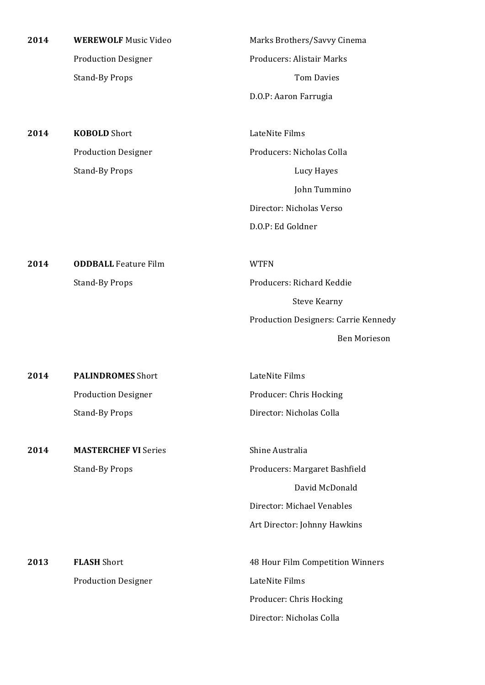| 2014 | <b>WEREWOLF Music Video</b> | Marks Brothers/Savvy Cinema          |
|------|-----------------------------|--------------------------------------|
|      | <b>Production Designer</b>  | Producers: Alistair Marks            |
|      | <b>Stand-By Props</b>       | <b>Tom Davies</b>                    |
|      |                             | D.O.P: Aaron Farrugia                |
| 2014 | <b>KOBOLD</b> Short         | LateNite Films                       |
|      | <b>Production Designer</b>  | Producers: Nicholas Colla            |
|      | <b>Stand-By Props</b>       | Lucy Hayes                           |
|      |                             | John Tummino                         |
|      |                             | Director: Nicholas Verso             |
|      |                             | D.O.P: Ed Goldner                    |
| 2014 | <b>ODDBALL Feature Film</b> | <b>WTFN</b>                          |
|      | <b>Stand-By Props</b>       | Producers: Richard Keddie            |
|      |                             | <b>Steve Kearny</b>                  |
|      |                             | Production Designers: Carrie Kennedy |
|      |                             | <b>Ben Morieson</b>                  |
| 2014 | <b>PALINDROMES</b> Short    | LateNite Films                       |
|      | <b>Production Designer</b>  | Producer: Chris Hocking              |
|      | <b>Stand-By Props</b>       | Director: Nicholas Colla             |
| 2014 | <b>MASTERCHEF VI Series</b> | Shine Australia                      |
|      | <b>Stand-By Props</b>       | Producers: Margaret Bashfield        |
|      |                             | David McDonald                       |
|      |                             | Director: Michael Venables           |
|      |                             | Art Director: Johnny Hawkins         |
| 2013 |                             | 48 Hour Film Competition Winners     |
|      | <b>FLASH Short</b>          |                                      |
|      | <b>Production Designer</b>  | LateNite Films                       |
|      |                             | Producer: Chris Hocking              |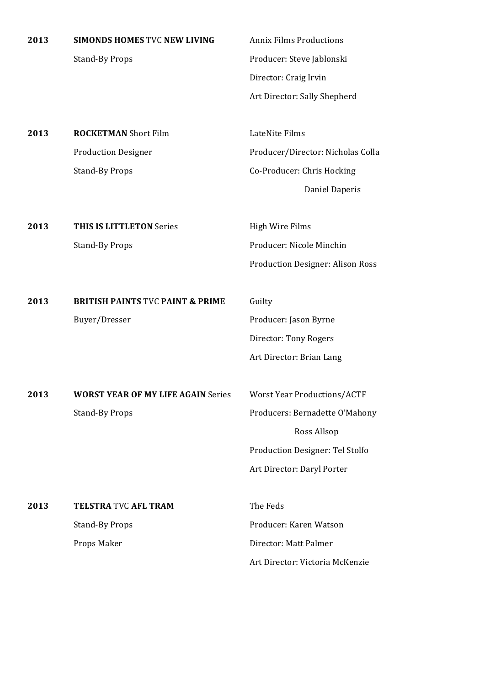| 2013 | <b>SIMONDS HOMES TVC NEW LIVING</b> |  |  |
|------|-------------------------------------|--|--|
|      |                                     |  |  |

**2013 Annix Films Productions** Stand-By Props **Props** Producer: Steve Jablonski Director: Craig Irvin Art Director: Sally Shepherd

**2013 ROCKETMAN** Short Film **LateNite Films** Production Designer **Producer/Director:** Nicholas Colla Stand-By Props Co-Producer: Chris Hocking

Daniel Daperis

**2013 THIS IS LITTLETON** Series High Wire Films Stand-By Props Producer: Nicole Minchin Production Designer: Alison Ross

**2013 BRITISH PAINTS TVC PAINT & PRIME** Guilty Buyer/Dresser **Producer:** Jason Byrne

Director: Tony Rogers Art Director: Brian Lang

**2013 WORST YEAR OF MY LIFE AGAIN** Series Worst Year Productions/ACTF Stand-By Props Producers: Bernadette O'Mahony

 Ross Allsop Production Designer: Tel Stolfo Art Director: Daryl Porter

**2013 TELSTRA TVC AFL TRAM** The Feds Stand-By Props Producer: Karen Watson Props Maker **Director:** Matt Palmer

Art Director: Victoria McKenzie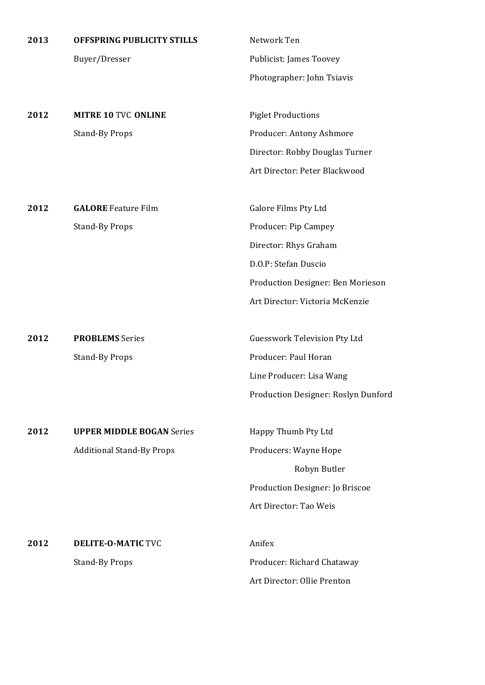| 2013 | <b>OFFSPRING PUBLICITY STILLS</b> | Network Ten                           |
|------|-----------------------------------|---------------------------------------|
|      | Buyer/Dresser                     | Publicist: James Toovey               |
|      |                                   | Photographer: John Tsiavis            |
|      |                                   |                                       |
| 2012 | <b>MITRE 10 TVC ONLINE</b>        | <b>Piglet Productions</b>             |
|      | <b>Stand-By Props</b>             | Producer: Antony Ashmore              |
|      |                                   | Director: Robby Douglas Turner        |
|      |                                   | Art Director: Peter Blackwood         |
|      |                                   |                                       |
| 2012 | <b>GALORE</b> Feature Film        | Galore Films Pty Ltd                  |
|      | <b>Stand-By Props</b>             | Producer: Pip Campey                  |
|      |                                   | Director: Rhys Graham                 |
|      |                                   | D.O.P: Stefan Duscio                  |
|      |                                   | Production Designer: Ben Morieson     |
|      |                                   | Art Director: Victoria McKenzie       |
|      |                                   |                                       |
| 2012 | <b>PROBLEMS</b> Series            | <b>Guesswork Television Pty Ltd</b>   |
|      | <b>Stand-By Props</b>             | Producer: Paul Horan                  |
|      |                                   | Line Producer: Lisa Wang              |
|      |                                   | Production Designer: Roslyn Dunford   |
|      |                                   |                                       |
| 2012 | <b>UPPER MIDDLE BOGAN Series</b>  | Happy Thumb Pty Ltd                   |
|      | <b>Additional Stand-By Props</b>  | Producers: Wayne Hope<br>Robyn Butler |
|      |                                   | Production Designer: Jo Briscoe       |
|      |                                   | Art Director: Tao Weis                |
|      |                                   |                                       |
| 2012 | <b>DELITE-O-MATIC TVC</b>         | Anifex                                |
|      | <b>Stand-By Props</b>             | Producer: Richard Chataway            |
|      |                                   | Art Director: Ollie Prenton           |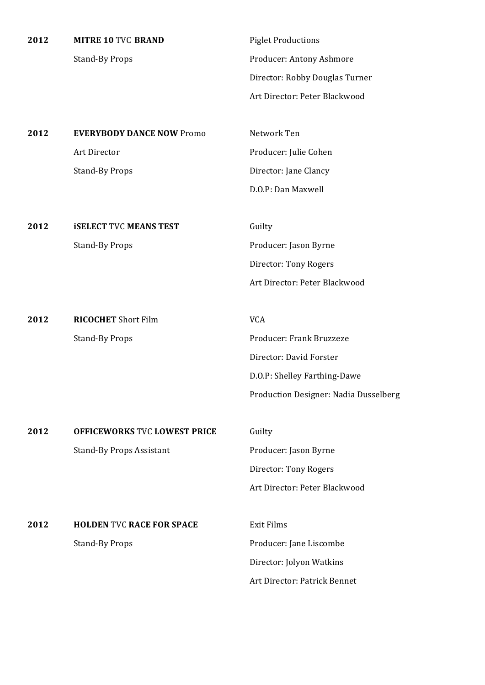| 2012 | <b>MITRE 10 TVC BRAND</b>           | <b>Piglet Productions</b>             |
|------|-------------------------------------|---------------------------------------|
|      | <b>Stand-By Props</b>               | Producer: Antony Ashmore              |
|      |                                     | Director: Robby Douglas Turner        |
|      |                                     | Art Director: Peter Blackwood         |
|      |                                     |                                       |
| 2012 | <b>EVERYBODY DANCE NOW Promo</b>    | Network Ten                           |
|      | Art Director                        | Producer: Julie Cohen                 |
|      | <b>Stand-By Props</b>               | Director: Jane Clancy                 |
|      |                                     | D.O.P: Dan Maxwell                    |
|      |                                     |                                       |
| 2012 | <b>ISELECT TVC MEANS TEST</b>       | Guilty                                |
|      | <b>Stand-By Props</b>               | Producer: Jason Byrne                 |
|      |                                     | Director: Tony Rogers                 |
|      |                                     | Art Director: Peter Blackwood         |
|      |                                     |                                       |
| 2012 | <b>RICOCHET</b> Short Film          | <b>VCA</b>                            |
|      | <b>Stand-By Props</b>               | Producer: Frank Bruzzeze              |
|      |                                     | Director: David Forster               |
|      |                                     | D.O.P: Shelley Farthing-Dawe          |
|      |                                     | Production Designer: Nadia Dusselberg |
|      |                                     |                                       |
| 2012 | <b>OFFICEWORKS TVC LOWEST PRICE</b> | Guilty                                |
|      | <b>Stand-By Props Assistant</b>     | Producer: Jason Byrne                 |
|      |                                     | Director: Tony Rogers                 |
|      |                                     | Art Director: Peter Blackwood         |
|      |                                     |                                       |
| 2012 | <b>HOLDEN TVC RACE FOR SPACE</b>    | <b>Exit Films</b>                     |
|      | <b>Stand-By Props</b>               | Producer: Jane Liscombe               |
|      |                                     | Director: Jolyon Watkins              |
|      |                                     | Art Director: Patrick Bennet          |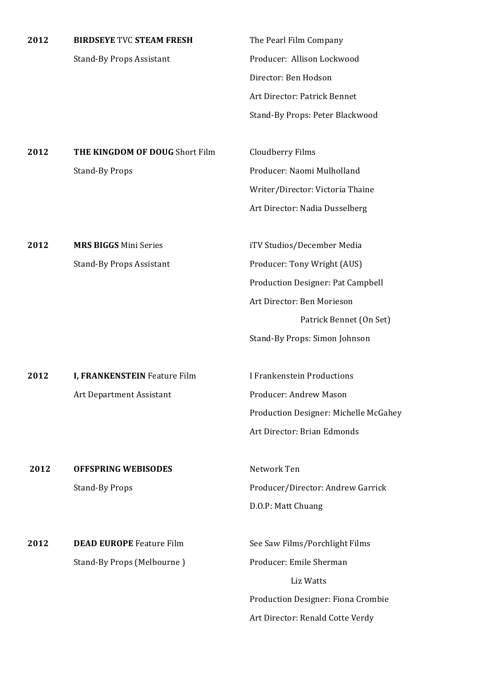| 2012 | <b>BIRDSEYE TVC STEAM FRESH</b> | The Pearl Film Company            |
|------|---------------------------------|-----------------------------------|
|      | <b>Stand-By Props Assistant</b> | Producer: Allison Lockwood        |
|      |                                 | Director: Ben Hodson              |
|      |                                 | Art Director: Patrick Bennet      |
|      |                                 | Stand-By Props: Peter Blackwood   |
|      |                                 |                                   |
| 2012 | THE KINGDOM OF DOUG Short Film  | Cloudberry Films                  |
|      | <b>Stand-By Props</b>           | Producer: Naomi Mulholland        |
|      |                                 | Writer/Director: Victoria Thaine  |
|      |                                 | Art Director: Nadia Dusselberg    |
|      |                                 |                                   |
| 2012 | <b>MRS BIGGS Mini Series</b>    | iTV Studios/December Media        |
|      | <b>Stand-By Props Assistant</b> | Producer: Tony Wright (AUS)       |
|      |                                 | Production Designer: Pat Campbell |
|      |                                 | Art Director: Ben Morieson        |
|      |                                 | Patrick Bennet (On Set)           |

**2012 I, FRANKENSTEIN** Feature Film **I** Frankenstein Productions Art Department Assistant **Producer:** Andrew Mason

**2012 OFFSPRING WEBISODES** Network Ten

Stand-By Props Producer/Director: Andrew Garrick D.O.P: Matt Chuang

Art Director: Brian Edmonds

Production Designer: Michelle McGahey

Stand-By Props: Simon Johnson

**2012 DEAD EUROPE** Feature Film See Saw Films/Porchlight Films Stand-By Props (Melbourne ) Producer: Emile Sherman

 Liz Watts Production Designer: Fiona Crombie Art Director: Renald Cotte Verdy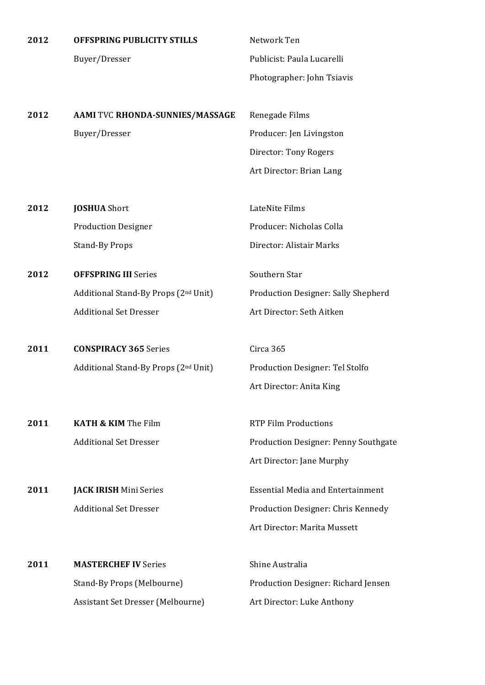| 2012 | OFFSPRING PUBLICITY STILLS                       | Network Ten                              |
|------|--------------------------------------------------|------------------------------------------|
|      | Buyer/Dresser                                    | Publicist: Paula Lucarelli               |
|      |                                                  | Photographer: John Tsiavis               |
|      |                                                  |                                          |
| 2012 | AAMI TVC RHONDA-SUNNIES/MASSAGE                  | Renegade Films                           |
|      | Buyer/Dresser                                    | Producer: Jen Livingston                 |
|      |                                                  | Director: Tony Rogers                    |
|      |                                                  | Art Director: Brian Lang                 |
|      |                                                  |                                          |
| 2012 | <b>JOSHUA</b> Short                              | LateNite Films                           |
|      | <b>Production Designer</b>                       | Producer: Nicholas Colla                 |
|      | <b>Stand-By Props</b>                            | Director: Alistair Marks                 |
| 2012 | <b>OFFSPRING III Series</b>                      | Southern Star                            |
|      | Additional Stand-By Props (2nd Unit)             | Production Designer: Sally Shepherd      |
|      | <b>Additional Set Dresser</b>                    | Art Director: Seth Aitken                |
|      |                                                  |                                          |
| 2011 | <b>CONSPIRACY 365 Series</b>                     | Circa 365                                |
|      | Additional Stand-By Props (2 <sup>nd</sup> Unit) | Production Designer: Tel Stolfo          |
|      |                                                  | Art Director: Anita King                 |
| 2011 | <b>KATH &amp; KIM The Film</b>                   | <b>RTP Film Productions</b>              |
|      | <b>Additional Set Dresser</b>                    | Production Designer: Penny Southgate     |
|      |                                                  | Art Director: Jane Murphy                |
|      |                                                  |                                          |
| 2011 | <b>JACK IRISH Mini Series</b>                    | <b>Essential Media and Entertainment</b> |
|      | <b>Additional Set Dresser</b>                    | Production Designer: Chris Kennedy       |
|      |                                                  | Art Director: Marita Mussett             |
| 2011 | <b>MASTERCHEF IV Series</b>                      | Shine Australia                          |
|      | Stand-By Props (Melbourne)                       | Production Designer: Richard Jensen      |
|      | Assistant Set Dresser (Melbourne)                | Art Director: Luke Anthony               |
|      |                                                  |                                          |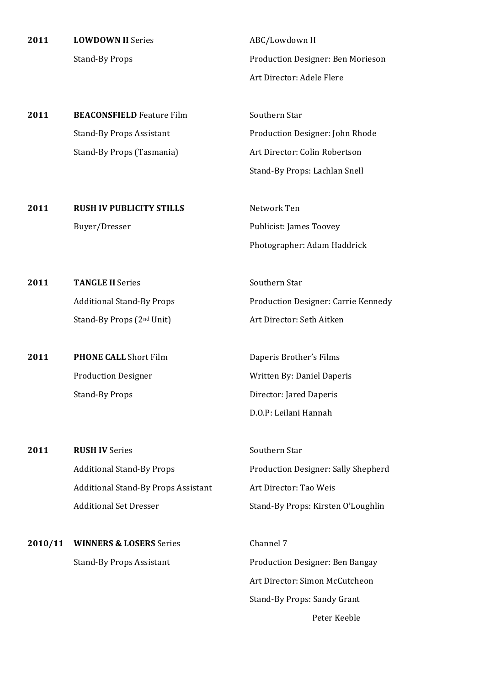**2011 LOWDOWN II** Series **ABC/Lowdown II** 

Stand-By Props **Props** Production Designer: Ben Morieson Art Director: Adele Flere

**2011 BEACONSFIELD** Feature Film Southern Star Stand-By Props Assistant **Production Designer:** John Rhode Stand-By Props (Tasmania) Art Director: Colin Robertson

Stand-By Props: Lachlan Snell

**2011 RUSH IV PUBLICITY STILLS** Network Ten Buyer/Dresser Publicist: James Toovey Photographer: Adam Haddrick

**2011 TANGLE II** Series Southern Star Additional Stand-By Props **Props** Production Designer: Carrie Kennedy Stand-By Props (2<sup>nd</sup> Unit) Art Director: Seth Aitken

**2011 PHONE CALL** Short Film **Daperis Brother's Films** Stand-By Props **Director:** Jared Daperis

Production Designer Written By: Daniel Daperis D.O.P: Leilani Hannah

**2011 RUSH IV** Series Southern Star Additional Stand-By Props Props Production Designer: Sally Shepherd Additional Stand-By Props Assistant Art Director: Tao Weis Additional Set Dresser Stand-By Props: Kirsten O'Loughlin

**2010/11 WINNERS & LOSERS** Series Channel 7

Stand-By Props Assistant **Production Designer: Ben Bangay** Art Director: Simon McCutcheon Stand-By Props: Sandy Grant Peter Keeble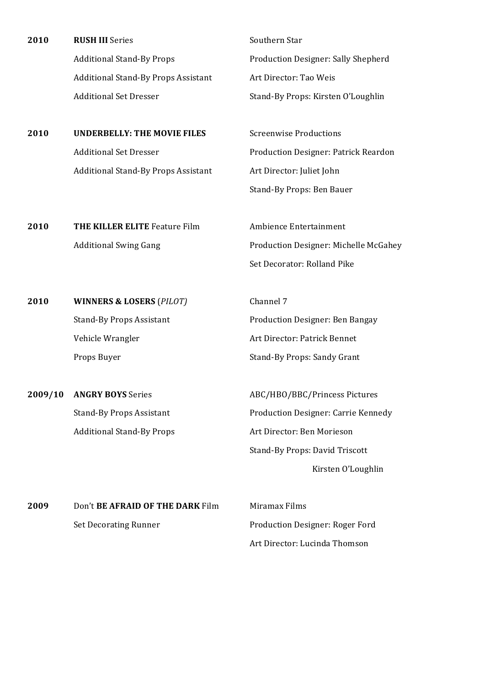| 2010 | <b>RUSH III</b> Series                     | Southern Star                              |
|------|--------------------------------------------|--------------------------------------------|
|      | <b>Additional Stand-By Props</b>           | <b>Production Designer: Sally Shepherd</b> |
|      | <b>Additional Stand-By Props Assistant</b> | Art Director: Tao Weis                     |
|      | <b>Additional Set Dresser</b>              | Stand-By Props: Kirsten O'Loughlin         |

**2010 UNDERBELLY: THE MOVIE FILES** Screenwise Productions Additional Stand-By Props Assistant Art Director: Juliet John

Additional Set Dresser **Production Designer: Patrick Reardon** Stand-By Props: Ben Bauer

**2010 THE KILLER ELITE** Feature Film Ambience Entertainment Additional Swing Gang Theorem 2013 Production Designer: Michelle McGahey Set Decorator: Rolland Pike

**2010 WINNERS & LOSERS** (PILOT) Channel 7 Vehicle Wrangler **Art Director:** Patrick Bennet

**2009/10 ANGRY BOYS** Series ABC/HBO/BBC/Princess Pictures

Stand-By Props Assistant **Production Designer:** Ben Bangay Props Buyer Stand-By Props: Sandy Grant

Stand-By Props Assistant **Production Designer:** Carrie Kennedy Additional Stand-By Props Art Director: Ben Morieson Stand-By Props: David Triscott Kirsten O'Loughlin

**2009** Don't **BE AFRAID OF THE DARK** Film Miramax Films Set Decorating Runner **Production Designer:** Roger Ford

Art Director: Lucinda Thomson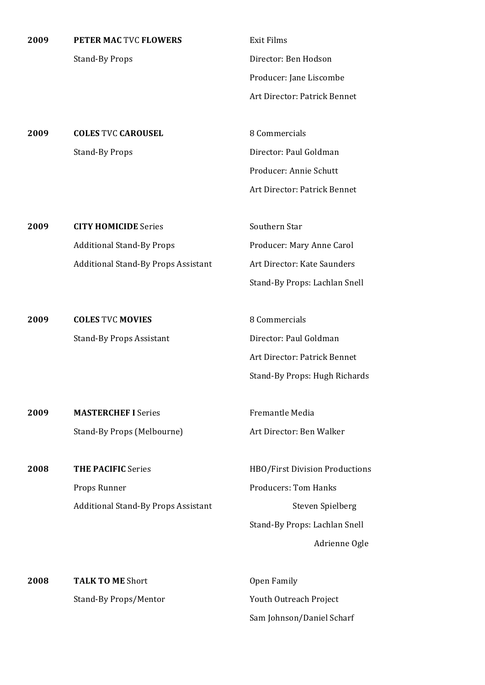**2009 PETER MAC TVC FLOWERS** Exit Films

Stand-By Props **Director:** Ben Hodson Producer: Jane Liscombe Art Director: Patrick Bennet

**2009 COLES** TVC **CAROUSEL** 8 Commercials Stand-By Props Director: Paul Goldman

Producer: Annie Schutt Art Director: Patrick Bennet

**2009 CITY HOMICIDE** Series Southern Star Additional Stand-By Props Producer: Mary Anne Carol Additional Stand-By Props Assistant Art Director: Kate Saunders

**2009 <b>COLES** TVC **MOVIES** 8 Commercials Stand-By Props Assistant Director: Paul Goldman

Art Director: Patrick Bennet Stand-By Props: Hugh Richards

Stand-By Props: Lachlan Snell

**2009 MASTERCHEF I** Series Fremantle Media Stand-By Props (Melbourne) Art Director: Ben Walker

**2008 THE PACIFIC** Series HBO/First Division Productions Props Runner **Producers:** Tom Hanks Additional Stand-By Props Assistant **Stand-By Props** Assistant Steven Spielberg

Stand-By Props: Lachlan Snell Adrienne Ogle

**2008 TALK TO ME** Short **COME Open** Family

Stand-By Props/Mentor Youth Outreach Project Sam Johnson/Daniel Scharf